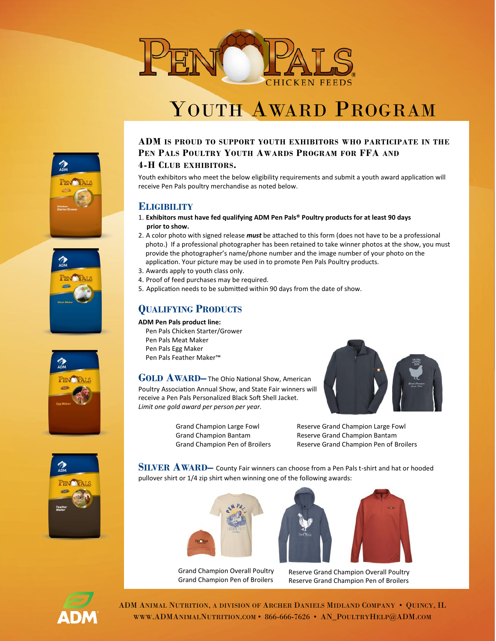

# YOUTH AWARD PROGRAM









Youth exhibitors who meet the below eligibility requirements and submit a youth award application will receive Pen Pals poultry merchandise as noted below.

## **ELIGIBILITY**

- 1. **Exhibitors must have fed qualifying ADM Pen Pals® Poultry products for at least 90 days prior to show.**
- 2. A color photo with signed release *must* be attached to this form (does not have to be a professional photo.) If a professional photographer has been retained to take winner photos at the show, you must provide the photographer's name/phone number and the image number of your photo on the application. Your picture may be used in to promote Pen Pals Poultry products.
- 3. Awards apply to youth class only.
- 4. Proof of feed purchases may be required.
- 5. Application needs to be submitted within 90 days from the date of show.

## **QUALIFYING PRODUCTS**

**ADM Pen Pals product line:**  Pen Pals Chicken Starter/Grower Pen Pals Meat Maker

Pen Pals Egg Maker Pen Pals Feather Maker™

**GOLD AWARD–** The Ohio National Show, American Poultry Association Annual Show, and State Fair winners will receive a Pen Pals Personalized Black Soft Shell Jacket. *Limit one gold award per person per year.*



Grand Champion Large Fowl Grand Champion Bantam Grand Champion Pen of Broilers Reserve Grand Champion Large Fowl Reserve Grand Champion Bantam Reserve Grand Champion Pen of Broilers



**SILVER AWARD–** County Fair winners can choose from a Pen Pals t-shirt and hat or hooded pullover shirt or 1/4 zip shirt when winning one of the following awards:



Grand Champion Overall Poultry Grand Champion Pen of Broilers



Reserve Grand Champion Overall Poultry Reserve Grand Champion Pen of Broilers



ADM ANIMAL NUTRITION, A DIVISION OF ARCHER DANIELS MIDLAND COMPANY • QUINCY, IL WWW.ADMANIMALNUTRITION.COM • 866-666-7626 • AN\_POULTRYHELP@ADM.COM